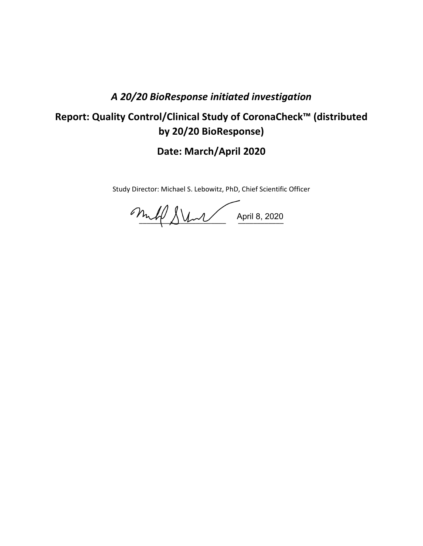## *A 20/20 BioResponse initiated investigation*

# **Report: Quality Control/Clinical Study of CoronaCheck™ (distributed by 20/20 BioResponse)**

**Date: March/April 2020**

Study Director: Michael S. Lebowitz, PhD, Chief Scientific Officer

\_\_\_\_\_\_\_\_\_\_\_\_\_\_\_\_\_\_\_\_\_\_\_ \_\_\_\_\_\_\_\_\_\_\_\_ April 8, 2020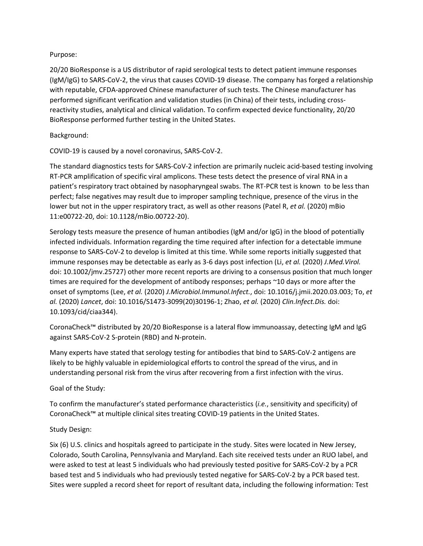#### Purpose:

20/20 BioResponse is a US distributor of rapid serological tests to detect patient immune responses (IgM/IgG) to SARS-CoV-2, the virus that causes COVID-19 disease. The company has forged a relationship with reputable, CFDA-approved Chinese manufacturer of such tests. The Chinese manufacturer has performed significant verification and validation studies (in China) of their tests, including crossreactivity studies, analytical and clinical validation. To confirm expected device functionality, 20/20 BioResponse performed further testing in the United States.

#### Background:

COVID-19 is caused by a novel coronavirus, SARS-CoV-2.

The standard diagnostics tests for SARS-CoV-2 infection are primarily nucleic acid-based testing involving RT-PCR amplification of specific viral amplicons. These tests detect the presence of viral RNA in a patient's respiratory tract obtained by nasopharyngeal swabs. The RT-PCR test is known to be less than perfect; false negatives may result due to improper sampling technique, presence of the virus in the lower but not in the upper respiratory tract, as well as other reasons (Patel R, *et al.* (2020) mBio 11:e00722-20, doi: 10.1128/mBio.00722-20).

Serology tests measure the presence of human antibodies (IgM and/or IgG) in the blood of potentially infected individuals. Information regarding the time required after infection for a detectable immune response to SARS-CoV-2 to develop is limited at this time. While some reports initially suggested that immune responses may be detectable as early as 3-6 days post infection (Li, *et al.* (2020) *J.Med.Virol.*  doi: 10.1002/jmv.25727) other more recent reports are driving to a consensus position that much longer times are required for the development of antibody responses; perhaps ~10 days or more after the onset of symptoms (Lee, *et al.* (2020) *J.Microbiol.Immunol.Infect.*, doi: 10.1016/j.jmii.2020.03.003; To, *et al.* (2020) *Lancet*, doi: 10.1016/S1473-3099(20)30196-1; Zhao, *et al.* (2020) *Clin.Infect.Dis.* doi: 10.1093/cid/ciaa344).

CoronaCheck™ distributed by 20/20 BioResponse is a lateral flow immunoassay, detecting IgM and IgG against SARS-CoV-2 S-protein (RBD) and N-protein.

Many experts have stated that serology testing for antibodies that bind to SARS-CoV-2 antigens are likely to be highly valuable in epidemiological efforts to control the spread of the virus, and in understanding personal risk from the virus after recovering from a first infection with the virus.

### Goal of the Study:

To confirm the manufacturer's stated performance characteristics (*i.e.*, sensitivity and specificity) of CoronaCheck™ at multiple clinical sites treating COVID-19 patients in the United States.

### Study Design:

Six (6) U.S. clinics and hospitals agreed to participate in the study. Sites were located in New Jersey, Colorado, South Carolina, Pennsylvania and Maryland. Each site received tests under an RUO label, and were asked to test at least 5 individuals who had previously tested positive for SARS-CoV-2 by a PCR based test and 5 individuals who had previously tested negative for SARS-CoV-2 by a PCR based test. Sites were suppled a record sheet for report of resultant data, including the following information: Test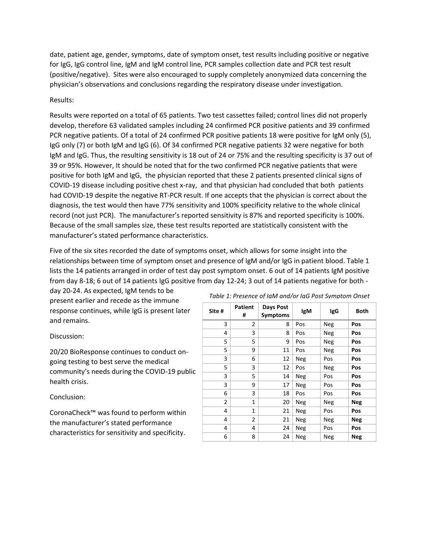date, patient age, gender, symptoms, date of symptom onset, test results including positive or negative for IgG, IgG control line, IgM and IgM control line, PCR samples collection date and PCR test result (positive/negative). Sites were also encouraged to supply completely anonymized data concerning the physician's observations and conclusions regarding the respiratory disease under investigation.

#### Results:

Results were reported on a total of 65 patients. Two test cassettes failed; control lines did not properly develop, therefore 63 validated samples including 24 confirmed PCR positive patients and 39 confirmed PCR negative patients. Of a total of 24 confirmed PCR positive patients 18 were positive for IgM only (5), IgG only (7) or both IgM and IgG (6). Of 34 confirmed PCR negative patients 32 were negative for both IgM and IgG. Thus, the resulting sensitivity is 18 out of 24 or 75% and the resulting specificity is 37 out of 39 or 95%. However, It should be noted that for the two confirmed PCR negative patients that were positive for both IgM and IgG, the physician reported that these 2 patients presented clinical signs of COVID-19 disease including positive chest x-ray, and that physician had concluded that both patients had COVID-19 despite the negative RT-PCR result. If one accepts that the physician is correct about the diagnosis, the test would then have 77% sensitivity and 100% specificity relative to the whole clinical record (not just PCR). The manufacturer's reported sensitivity is 87% and reported specificity is 100%. Because of the small samples size, these test results reported are statistically consistent with the manufacturer's stated performance characteristics.

Five of the six sites recorded the date of symptoms onset, which allows for some insight into the relationships between time of symptom onset and presence of IgM and/or IgG in patient blood. Table 1 lists the 14 patients arranged in order of test day post symptom onset. 6 out of 14 patients IgM positive from day 8-18; 6 out of 14 patients IgG positive from day 12-24; 3 out of 14 patients negative for both -

day 20-24. As expected, IgM tends to be present earlier and recede as the immune response continues, while IgG is present later and remains.

#### Discussion:

20/20 BioResponse continues to conduct ongoing testing to best serve the medical community's needs during the COVID-19 public health crisis.

#### Conclusion:

CoronaCheck™ was found to perform within the manufacturer's stated performance characteristics for sensitivity and specificity.

| Site # | <b>Patient</b><br># | Days Post<br>Symptoms | IgM        | IgG        | <b>Both</b> |
|--------|---------------------|-----------------------|------------|------------|-------------|
| 3      | 2                   | 8                     | Pos        | Neg        | Pos         |
| 4      | 3                   | 8                     | Pos        | Neg        | Pos         |
| 5      | 5                   | 9                     | Pos        | Neg        | Pos         |
| 5      | 9                   | 11                    | Pos        | Neg        | Pos         |
| 3      | 6                   | 12                    | Neg        | Pos        | Pos         |
| 5      | 3                   | 12                    | Pos        | Neg        | Pos         |
| 3      | 5                   | 14                    | Neg        | Pos        | Pos         |
| 3      | 9                   | 17                    | <b>Neg</b> | Pos        | Pos         |
| 6      | 3                   | 18                    | Pos        | Pos        | Pos         |
| 2      | 1                   | 20                    | Neg        | <b>Neg</b> | <b>Neg</b>  |
| 4      | $\mathbf{1}$        | 21                    | Neg        | Pos        | Pos         |
| 4      | $\overline{2}$      | 21                    | <b>Neg</b> | Neg        | <b>Neg</b>  |
| 4      | 4                   | 24                    | <b>Neg</b> | Pos        | Pos         |
| 6      | 8                   | 24                    | Neg        | Neg        | <b>Neg</b>  |

#### *Table 1: Presence of IgM and/or IgG Post Symptom Onset*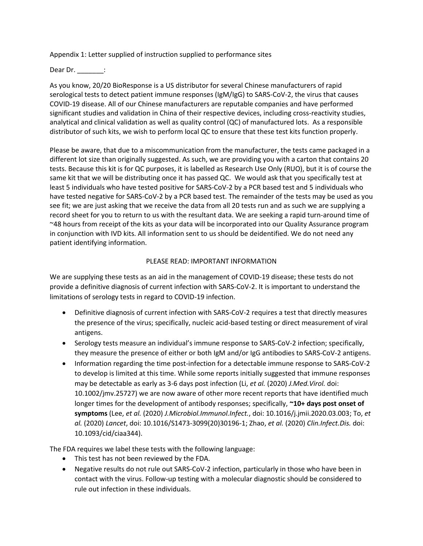Appendix 1: Letter supplied of instruction supplied to performance sites

#### Dear Dr.  $\qquad \qquad :$

As you know, 20/20 BioResponse is a US distributor for several Chinese manufacturers of rapid serological tests to detect patient immune responses (IgM/IgG) to SARS-CoV-2, the virus that causes COVID-19 disease. All of our Chinese manufacturers are reputable companies and have performed significant studies and validation in China of their respective devices, including cross-reactivity studies, analytical and clinical validation as well as quality control (QC) of manufactured lots. As a responsible distributor of such kits, we wish to perform local QC to ensure that these test kits function properly.

Please be aware, that due to a miscommunication from the manufacturer, the tests came packaged in a different lot size than originally suggested. As such, we are providing you with a carton that contains 20 tests. Because this kit is for QC purposes, it is labelled as Research Use Only (RUO), but it is of course the same kit that we will be distributing once it has passed QC. We would ask that you specifically test at least 5 individuals who have tested positive for SARS-CoV-2 by a PCR based test and 5 individuals who have tested negative for SARS-CoV-2 by a PCR based test. The remainder of the tests may be used as you see fit; we are just asking that we receive the data from all 20 tests run and as such we are supplying a record sheet for you to return to us with the resultant data. We are seeking a rapid turn-around time of ~48 hours from receipt of the kits as your data will be incorporated into our Quality Assurance program in conjunction with IVD kits. All information sent to us should be deidentified. We do not need any patient identifying information.

#### PLEASE READ: IMPORTANT INFORMATION

We are supplying these tests as an aid in the management of COVID-19 disease; these tests do not provide a definitive diagnosis of current infection with SARS-CoV-2. It is important to understand the limitations of serology tests in regard to COVID-19 infection.

- Definitive diagnosis of current infection with SARS-CoV-2 requires a test that directly measures the presence of the virus; specifically, nucleic acid-based testing or direct measurement of viral antigens.
- Serology tests measure an individual's immune response to SARS-CoV-2 infection; specifically, they measure the presence of either or both IgM and/or IgG antibodies to SARS-CoV-2 antigens.
- Information regarding the time post-infection for a detectable immune response to SARS-CoV-2 to develop is limited at this time. While some reports initially suggested that immune responses may be detectable as early as 3-6 days post infection (Li, *et al.* (2020) *J.Med.Virol.* doi: 10.1002/jmv.25727) we are now aware of other more recent reports that have identified much longer times for the development of antibody responses; specifically, **~10+ days post onset of symptoms** (Lee, *et al.* (2020) *J.Microbiol.Immunol.Infect.*, doi: 10.1016/j.jmii.2020.03.003; To, *et al.* (2020) *Lancet*, doi: 10.1016/S1473-3099(20)30196-1; Zhao, *et al.* (2020) *Clin.Infect.Dis.* doi: 10.1093/cid/ciaa344).

The FDA requires we label these tests with the following language:

- This test has not been reviewed by the FDA.
- Negative results do not rule out SARS-CoV-2 infection, particularly in those who have been in contact with the virus. Follow-up testing with a molecular diagnostic should be considered to rule out infection in these individuals.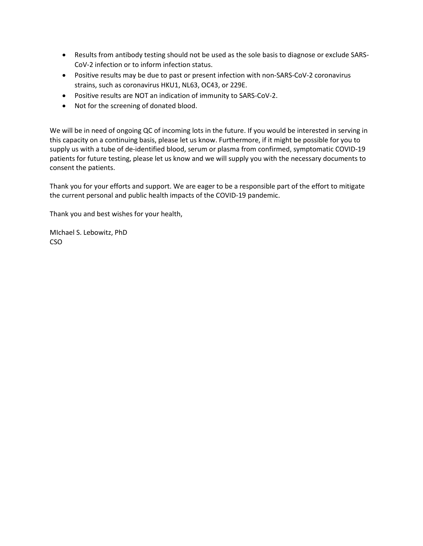- Results from antibody testing should not be used as the sole basis to diagnose or exclude SARS-CoV-2 infection or to inform infection status.
- Positive results may be due to past or present infection with non-SARS-CoV-2 coronavirus strains, such as coronavirus HKU1, NL63, OC43, or 229E.
- Positive results are NOT an indication of immunity to SARS-CoV-2.
- Not for the screening of donated blood.

We will be in need of ongoing QC of incoming lots in the future. If you would be interested in serving in this capacity on a continuing basis, please let us know. Furthermore, if it might be possible for you to supply us with a tube of de-identified blood, serum or plasma from confirmed, symptomatic COVID-19 patients for future testing, please let us know and we will supply you with the necessary documents to consent the patients.

Thank you for your efforts and support. We are eager to be a responsible part of the effort to mitigate the current personal and public health impacts of the COVID-19 pandemic.

Thank you and best wishes for your health,

MIchael S. Lebowitz, PhD CSO